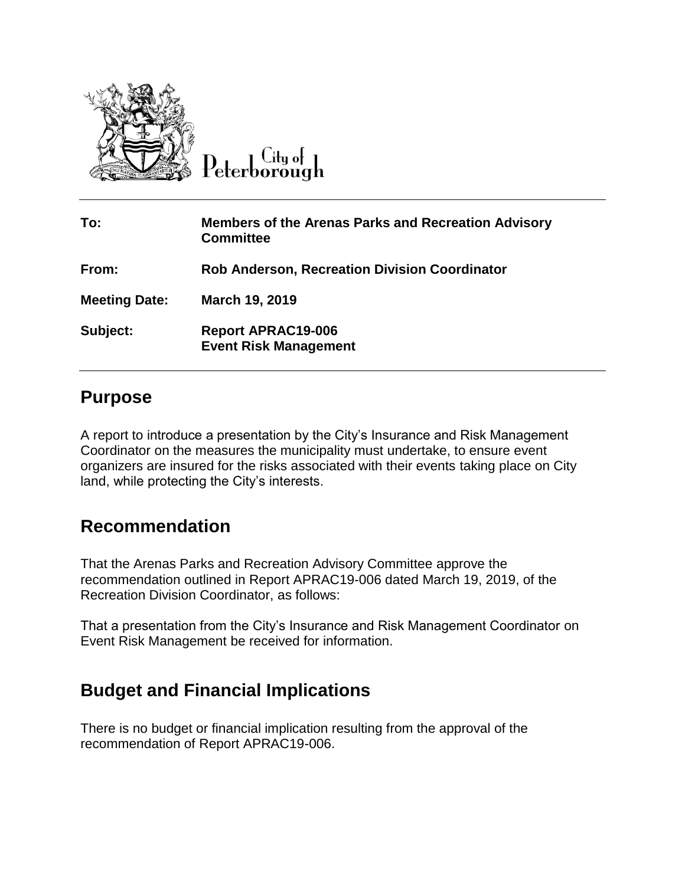

 $C$ ity of Peterborough

| To:                  | <b>Members of the Arenas Parks and Recreation Advisory</b><br><b>Committee</b> |
|----------------------|--------------------------------------------------------------------------------|
| From:                | <b>Rob Anderson, Recreation Division Coordinator</b>                           |
| <b>Meeting Date:</b> | March 19, 2019                                                                 |
| Subject:             | <b>Report APRAC19-006</b><br><b>Event Risk Management</b>                      |

## **Purpose**

A report to introduce a presentation by the City's Insurance and Risk Management Coordinator on the measures the municipality must undertake, to ensure event organizers are insured for the risks associated with their events taking place on City land, while protecting the City's interests.

## **Recommendation**

That the Arenas Parks and Recreation Advisory Committee approve the recommendation outlined in Report APRAC19-006 dated March 19, 2019, of the Recreation Division Coordinator, as follows:

That a presentation from the City's Insurance and Risk Management Coordinator on Event Risk Management be received for information.

## **Budget and Financial Implications**

There is no budget or financial implication resulting from the approval of the recommendation of Report APRAC19-006.